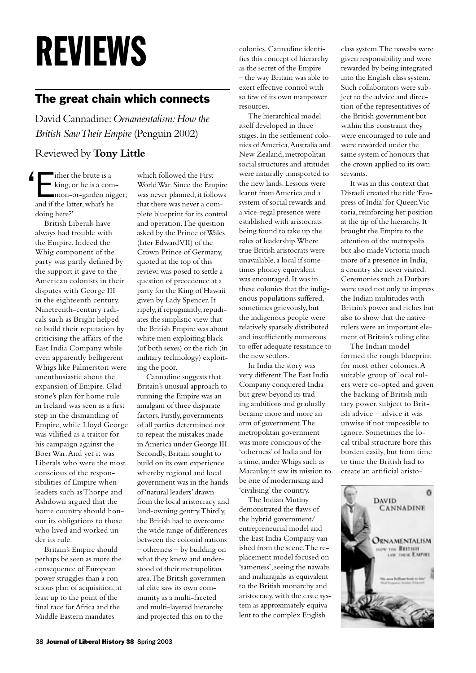# REVIEWS

# The great chain which connects

David Cannadine: *Ornamentalism: How the British Saw Their Empire* (Penguin 2002)

### Reviewed by **Tony Little**

Either the brute is a king, or he is a common-or-garden nigger; and if the latter, what's he doing here?'  $\epsilon$ 

British Liberals have always had trouble with the Empire. Indeed the Whig component of the party was partly defined by the support it gave to the American colonists in their disputes with George III in the eighteenth century. Nineteenth-century radicals such as Bright helped to build their reputation by criticising the affairs of the East India Company while even apparently belligerent Whigs like Palmerston were unenthusiastic about the expansion of Empire. Gladstone's plan for home rule in Ireland was seen as a first step in the dismantling of Empire, while Lloyd George was vilified as a traitor for his campaign against the Boer War. And yet it was Liberals who were the most conscious of the responsibilities of Empire when leaders such as Thorpe and Ashdown argued that the home country should honour its obligations to those who lived and worked under its rule.

Britain's Empire should perhaps be seen as more the consequence of European power struggles than a conscious plan of acquisition, at least up to the point of the final race for Africa and the Middle Eastern mandates

which followed the First World War. Since the Empire was never planned, it follows that there was never a complete blueprint for its control and operation. The question asked by the Prince of Wales (later Edward VII) of the Crown Prince of Germany, quoted at the top of this review, was posed to settle a question of precedence at a party for the King of Hawaii given by Lady Spencer. It ripely, if repugnantly, repudiates the simplistic view that the British Empire was about white men exploiting black (of both sexes) or the rich (in military technology) exploiting the poor.

Cannadine suggests that Britain's unusual approach to running the Empire was an amalgam of three disparate factors. Firstly, governments of all parties determined not to repeat the mistakes made in America under George III. Secondly, Britain sought to build on its own experience whereby regional and local government was in the hands of 'natural leaders' drawn from the local aristocracy and land-owning gentry. Thirdly, the British had to overcome the wide range of differences between the colonial nations – otherness – by building on what they knew and understood of their metropolitan area. The British governmental elite saw its own community as a multi-faceted and multi-layered hierarchy and projected this on to the

colonies. Cannadine identifies this concept of hierarchy as the secret of the Empire – the way Britain was able to exert effective control with so few of its own manpower resources.

The hierarchical model itself developed in three stages. In the settlement colonies of America, Australia and New Zealand, metropolitan social structures and attitudes were naturally transported to the new lands. Lessons were learnt from America and a system of social rewards and a vice-regal presence were established with aristocrats being found to take up the roles of leadership. Where true British aristocrats were unavailable, a local if sometimes phoney equivalent was encouraged. It was in these colonies that the indigenous populations suffered, sometimes grievously, but the indigenous people were relatively sparsely distributed and insufficiently numerous to offer adequate resistance to the new settlers.

In India the story was very different. The East India Company conquered India but grew beyond its trading ambitions and gradually became more and more an arm of government. The metropolitan government was more conscious of the 'otherness' of India and for a time, under Whigs such as Macaulay, it saw its mission to be one of modernising and 'civilising' the country.

The Indian Mutiny demonstrated the flaws of the hybrid government/ entrepreneurial model and the East India Company vanished from the scene. The replacement model focused on 'sameness', seeing the nawabs and maharajahs as equivalent to the British monarchy and aristocracy, with the caste system as approximately equivalent to the complex English

class system. The nawabs were given responsibility and were rewarded by being integrated into the English class system. Such collaborators were subject to the advice and direction of the representatives of the British government but within this constraint they were encouraged to rule and were rewarded under the same system of honours that the crown applied to its own servants.

It was in this context that Disraeli created the title 'Empress of India' for Queen Victoria, reinforcing her position at the tip of the hierarchy. It brought the Empire to the attention of the metropolis but also made Victoria much more of a presence in India, a country she never visited. Ceremonies such as Durbars were used not only to impress the Indian multitudes with Britain's power and riches but also to show that the native rulers were an important element of Britain's ruling elite.

The Indian model formed the rough blueprint for most other colonies. A suitable group of local rulers were co-opted and given the backing of British military power, subject to British advice – advice it was unwise if not impossible to ignore. Sometimes the local tribal structure bore this burden easily, but from time to time the British had to create an artificial aristo-